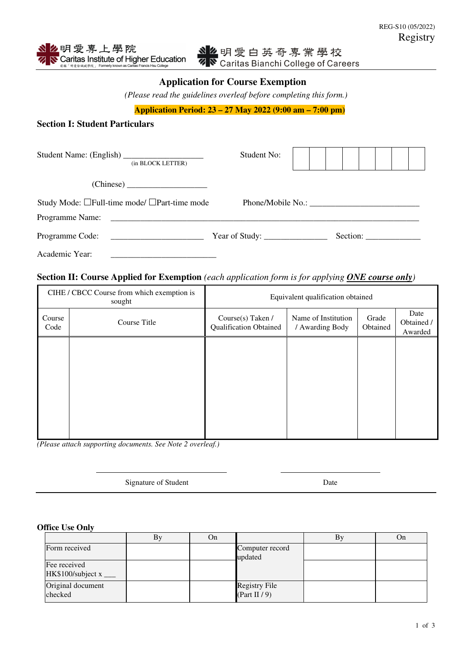# **Application for Course Exemption**

*(Please read the guidelines overleaf before completing this form.)* 

**Application Period: 23 – 27 May 2022 (9:00 am – 7:00 pm)** 

## **Section I: Student Particulars**

| (in BLOCK LETTER)                            | Student No:                                           |  |  |  |  |  |  |
|----------------------------------------------|-------------------------------------------------------|--|--|--|--|--|--|
|                                              |                                                       |  |  |  |  |  |  |
| Study Mode: □Full-time mode/ □Part-time mode |                                                       |  |  |  |  |  |  |
| Programme Name:                              |                                                       |  |  |  |  |  |  |
| Programme Code:                              | Year of Study: $\_\_\_\_\_\_\_\_\_\_\_\_\_\_\_\_\_\_$ |  |  |  |  |  |  |
| Academic Year:                               |                                                       |  |  |  |  |  |  |

## **Section II: Course Applied for Exemption** *(each application form is for applying ONE course only)*

|                | CIHE / CBCC Course from which exemption is<br>sought | Equivalent qualification obtained                  |                                        |                   |                               |  |
|----------------|------------------------------------------------------|----------------------------------------------------|----------------------------------------|-------------------|-------------------------------|--|
| Course<br>Code | Course Title                                         | Course(s) Taken /<br><b>Qualification Obtained</b> | Name of Institution<br>/ Awarding Body | Grade<br>Obtained | Date<br>Obtained /<br>Awarded |  |
|                |                                                      |                                                    |                                        |                   |                               |  |
|                |                                                      |                                                    |                                        |                   |                               |  |
|                |                                                      |                                                    |                                        |                   |                               |  |
|                |                                                      |                                                    |                                        |                   |                               |  |

*(Please attach supporting documents. See Note 2 overleaf.)* 

l

Signature of Student Date

#### **Office Use Only**

|                                       | Вy | On |                                          | By | On |
|---------------------------------------|----|----|------------------------------------------|----|----|
| Form received                         |    |    | Computer record<br>updated               |    |    |
| Fee received<br>HK\$100/subject $x$ _ |    |    |                                          |    |    |
| Original document<br>checked          |    |    | <b>Registry File</b><br>(Part II $/ 9$ ) |    |    |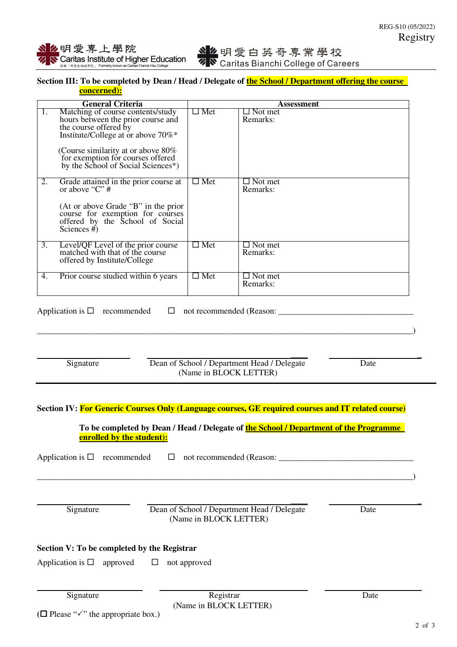### Section III: To be completed by Dean / Head / Delegate of **the School / Department offering the course concerned):**

|    | <b>General Criteria</b>                                                                                                                                                                                                                                               |               | Assessment                 |
|----|-----------------------------------------------------------------------------------------------------------------------------------------------------------------------------------------------------------------------------------------------------------------------|---------------|----------------------------|
| 1. | Matching of course contents/study<br>hours between the prior course and<br>the course offered by<br>Institute/College at or above 70%*<br>(Course similarity at or above 80%)<br>for exemption for courses offered<br>by the School of Social Sciences <sup>*</sup> ) | $\Box$ Met    | $\Box$ Not met<br>Remarks: |
| 2. | Grade attained in the prior course at<br>or above " $C$ " #<br>(At or above Grade "B" in the prior<br>course for exemption for courses<br>offered by the School of Social<br>Sciences $#$ )                                                                           | $\Box$ Met    | $\Box$ Not met<br>Remarks: |
| 3. | Level/QF Level of the prior course<br>matched with that of the course<br>offered by Institute/College                                                                                                                                                                 | $\square$ Met | $\Box$ Not met<br>Remarks: |
| 4. | Prior course studied within 6 years                                                                                                                                                                                                                                   | $\square$ Met | $\Box$ Not met<br>Remarks: |

Application is  $\Box$  recommended  $\Box$  not recommended (Reason:

\_\_\_\_\_\_\_\_\_\_\_\_\_\_\_\_\_\_\_\_\_\_\_\_\_\_\_\_\_\_\_\_\_\_\_\_\_\_\_\_\_\_\_\_\_\_\_\_\_\_\_\_\_\_\_\_\_\_\_\_\_\_\_\_\_\_\_\_\_\_\_\_\_\_\_\_\_\_\_\_\_\_\_\_\_\_\_\_\_)

- **\_\_\_\_ \_**  Signature Dean of School / Department Head / Delegate Date (Name in BLOCK LETTER)
- **Section IV: For Generic Courses Only (Language courses, GE required courses and IT related course)**

**To be completed by Dean / Head / Delegate of the School / Department of the Programme enrolled by the student):** 

Application is  $\Box$  recommended  $\Box$  not recommended (Reason:

Signature Dean of School / Department Head / Delegate Date (Name in BLOCK LETTER)

 **\_\_\_\_ \_** 

\_\_\_\_\_\_\_\_\_\_\_\_\_\_\_\_\_\_\_\_\_\_\_\_\_\_\_\_\_\_\_\_\_\_\_\_\_\_\_\_\_\_\_\_\_\_\_\_\_\_\_\_\_\_\_\_\_\_\_\_\_\_\_\_\_\_\_\_\_\_\_\_\_\_\_\_\_\_\_\_\_\_\_\_\_\_\_\_\_)

### **Section V: To be completed by the Registrar**

Application is  $\Box$  approved  $\Box$  not approved

Signature Date Registrar Registrar Date (Name in BLOCK LETTER)

 $(\Box$  Please " $\checkmark$ " the appropriate box.)